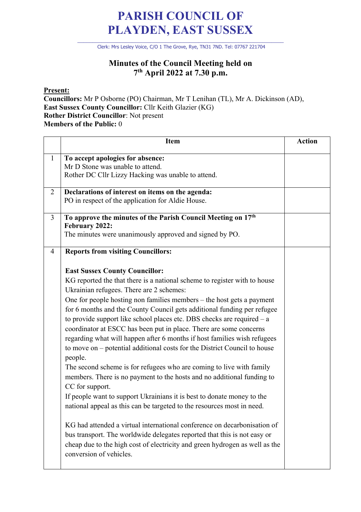## **PARISH COUNCIL OF PLAYDEN, EAST SUSSEX**

\_\_\_\_\_\_\_\_\_\_\_\_\_\_\_\_\_\_\_\_\_\_\_\_\_\_\_\_\_\_\_\_\_\_\_\_\_\_\_\_\_\_\_\_\_\_\_\_\_\_\_\_\_\_\_\_\_\_\_\_\_\_\_\_\_\_\_\_ Clerk: Mrs Lesley Voice, C/O 1 The Grove, Rye, TN31 7ND. Tel: 07767 221704

## **Minutes of the Council Meeting held on 7th April 2022 at 7.30 p.m.**

**Present:**

**Councillors:** Mr P Osborne (PO) Chairman, Mr T Lenihan (TL), Mr A. Dickinson (AD), **East Sussex County Councillor:** Cllr Keith Glazier (KG) **Rother District Councillor**: Not present **Members of the Public:** 0

|                | <b>Item</b>                                                                                                                                                                                                                                                                                                                                                                                                                                                                                                                                                                                                                                                                                                                                                                                                                                                                                                                                                                                                                                                                                                                                                                                | <b>Action</b> |
|----------------|--------------------------------------------------------------------------------------------------------------------------------------------------------------------------------------------------------------------------------------------------------------------------------------------------------------------------------------------------------------------------------------------------------------------------------------------------------------------------------------------------------------------------------------------------------------------------------------------------------------------------------------------------------------------------------------------------------------------------------------------------------------------------------------------------------------------------------------------------------------------------------------------------------------------------------------------------------------------------------------------------------------------------------------------------------------------------------------------------------------------------------------------------------------------------------------------|---------------|
| $\mathbf{1}$   | To accept apologies for absence:<br>Mr D Stone was unable to attend.<br>Rother DC Cllr Lizzy Hacking was unable to attend.                                                                                                                                                                                                                                                                                                                                                                                                                                                                                                                                                                                                                                                                                                                                                                                                                                                                                                                                                                                                                                                                 |               |
| $\overline{2}$ | Declarations of interest on items on the agenda:<br>PO in respect of the application for Aldie House.                                                                                                                                                                                                                                                                                                                                                                                                                                                                                                                                                                                                                                                                                                                                                                                                                                                                                                                                                                                                                                                                                      |               |
| $\overline{3}$ | To approve the minutes of the Parish Council Meeting on 17th<br>February 2022:<br>The minutes were unanimously approved and signed by PO.                                                                                                                                                                                                                                                                                                                                                                                                                                                                                                                                                                                                                                                                                                                                                                                                                                                                                                                                                                                                                                                  |               |
| $\overline{4}$ | <b>Reports from visiting Councillors:</b><br><b>East Sussex County Councillor:</b>                                                                                                                                                                                                                                                                                                                                                                                                                                                                                                                                                                                                                                                                                                                                                                                                                                                                                                                                                                                                                                                                                                         |               |
|                | KG reported the that there is a national scheme to register with to house<br>Ukrainian refugees. There are 2 schemes:<br>One for people hosting non families members – the host gets a payment<br>for 6 months and the County Council gets additional funding per refugee<br>to provide support like school places etc. DBS checks are required $-$ a<br>coordinator at ESCC has been put in place. There are some concerns<br>regarding what will happen after 6 months if host families wish refugees<br>to move on – potential additional costs for the District Council to house<br>people.<br>The second scheme is for refugees who are coming to live with family<br>members. There is no payment to the hosts and no additional funding to<br>CC for support.<br>If people want to support Ukrainians it is best to donate money to the<br>national appeal as this can be targeted to the resources most in need.<br>KG had attended a virtual international conference on decarbonisation of<br>bus transport. The worldwide delegates reported that this is not easy or<br>cheap due to the high cost of electricity and green hydrogen as well as the<br>conversion of vehicles. |               |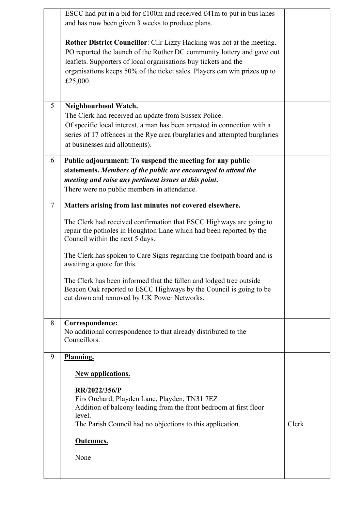|        | ESCC had put in a bid for £100m and received £41m to put in bus lanes<br>and has now been given 3 weeks to produce plans.                                                                                                                                                                                    |       |
|--------|--------------------------------------------------------------------------------------------------------------------------------------------------------------------------------------------------------------------------------------------------------------------------------------------------------------|-------|
|        | Rother District Councillor: Cllr Lizzy Hacking was not at the meeting.<br>PO reported the launch of the Rother DC community lottery and gave out<br>leaflets. Supporters of local organisations buy tickets and the<br>organisations keeps 50% of the ticket sales. Players can win prizes up to<br>£25,000. |       |
| 5      | Neighbourhood Watch.<br>The Clerk had received an update from Sussex Police.<br>Of specific local interest, a man has been arrested in connection with a<br>series of 17 offences in the Rye area (burglaries and attempted burglaries<br>at businesses and allotments).                                     |       |
| 6      | Public adjournment: To suspend the meeting for any public<br>statements. Members of the public are encouraged to attend the<br>meeting and raise any pertinent issues at this point.<br>There were no public members in attendance.                                                                          |       |
| $\tau$ | Matters arising from last minutes not covered elsewhere.                                                                                                                                                                                                                                                     |       |
|        | The Clerk had received confirmation that ESCC Highways are going to<br>repair the potholes in Houghton Lane which had been reported by the<br>Council within the next 5 days.                                                                                                                                |       |
|        | The Clerk has spoken to Care Signs regarding the footpath board and is<br>awaiting a quote for this.                                                                                                                                                                                                         |       |
|        | The Clerk has been informed that the fallen and lodged tree outside<br>Beacon Oak reported to ESCC Highways by the Council is going to be<br>cut down and removed by UK Power Networks.                                                                                                                      |       |
| 8      | Correspondence:<br>No additional correspondence to that already distributed to the<br>Councillors.                                                                                                                                                                                                           |       |
| 9      | Planning.                                                                                                                                                                                                                                                                                                    |       |
|        | <b>New applications.</b>                                                                                                                                                                                                                                                                                     |       |
|        | RR/2022/356/P                                                                                                                                                                                                                                                                                                |       |
|        | Firs Orchard, Playden Lane, Playden, TN31 7EZ<br>Addition of balcony leading from the front bedroom at first floor                                                                                                                                                                                           |       |
|        | level.<br>The Parish Council had no objections to this application.                                                                                                                                                                                                                                          | Clerk |
|        | <b>Outcomes.</b>                                                                                                                                                                                                                                                                                             |       |
|        | None                                                                                                                                                                                                                                                                                                         |       |
|        |                                                                                                                                                                                                                                                                                                              |       |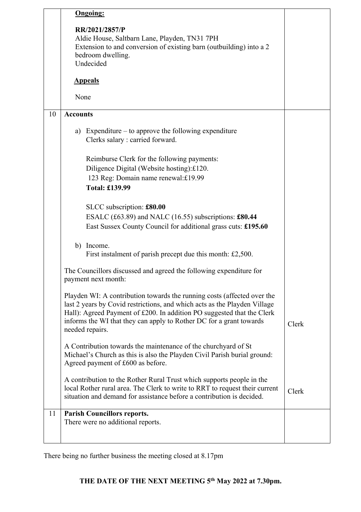|    | <b>Ongoing:</b>                                                                                                                                                                                                                                                                                                          |       |
|----|--------------------------------------------------------------------------------------------------------------------------------------------------------------------------------------------------------------------------------------------------------------------------------------------------------------------------|-------|
|    | RR/2021/2857/P<br>Aldie House, Saltbarn Lane, Playden, TN31 7PH<br>Extension to and conversion of existing barn (outbuilding) into a 2<br>bedroom dwelling.<br>Undecided                                                                                                                                                 |       |
|    | <b>Appeals</b>                                                                                                                                                                                                                                                                                                           |       |
|    | None                                                                                                                                                                                                                                                                                                                     |       |
| 10 | <b>Accounts</b>                                                                                                                                                                                                                                                                                                          |       |
|    | a) Expenditure $-$ to approve the following expenditure<br>Clerks salary : carried forward.                                                                                                                                                                                                                              |       |
|    | Reimburse Clerk for the following payments:<br>Diligence Digital (Website hosting):£120.<br>123 Reg: Domain name renewal:£19.99<br><b>Total: £139.99</b>                                                                                                                                                                 |       |
|    | SLCC subscription: £80.00<br>ESALC (£63.89) and NALC (16.55) subscriptions: £80.44<br>East Sussex County Council for additional grass cuts: £195.60                                                                                                                                                                      |       |
|    | b) Income.<br>First instalment of parish precept due this month: £2,500.                                                                                                                                                                                                                                                 |       |
|    | The Councillors discussed and agreed the following expenditure for<br>payment next month:                                                                                                                                                                                                                                |       |
|    | Playden WI: A contribution towards the running costs (affected over the<br>last 2 years by Covid restrictions, and which acts as the Playden Village<br>Hall): Agreed Payment of £200. In addition PO suggested that the Clerk<br>informs the WI that they can apply to Rother DC for a grant towards<br>needed repairs. | Clerk |
|    | A Contribution towards the maintenance of the churchyard of St<br>Michael's Church as this is also the Playden Civil Parish burial ground:<br>Agreed payment of £600 as before.                                                                                                                                          |       |
|    | A contribution to the Rother Rural Trust which supports people in the<br>local Rother rural area. The Clerk to write to RRT to request their current<br>situation and demand for assistance before a contribution is decided.                                                                                            | Clerk |
| 11 | <b>Parish Councillors reports.</b><br>There were no additional reports.                                                                                                                                                                                                                                                  |       |

There being no further business the meeting closed at 8.17pm